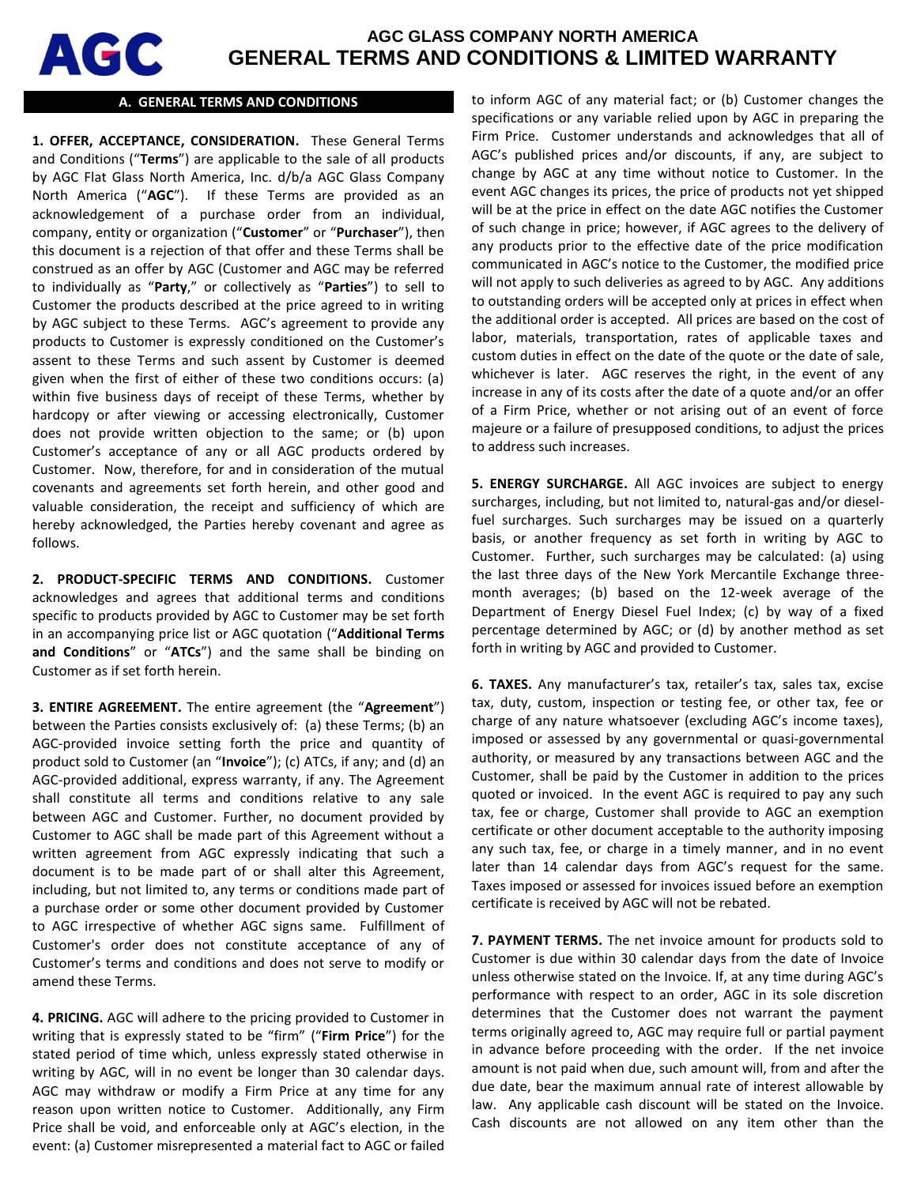

# **AGC GLASS COMPANY NORTH AMERICA GENERAL TERMS AND CONDITIONS & LIMITED WARRANTY**

## **A. GENERAL TERMS AND CONDITIONS**

**1. OFFER, ACCEPTANCE, CONSIDERATION.** These General Terms and Conditions ("**Terms**") are applicable to the sale of all products by AGC Flat Glass North America, Inc. d/b/a AGC Glass Company North America ("**AGC**"). If these Terms are provided as an acknowledgement of a purchase order from an individual, company, entity or organization ("**Customer**" or "**Purchaser**"), then this document is a rejection of that offer and these Terms shall be construed as an offer by AGC (Customer and AGC may be referred to individually as "**Party**," or collectively as "**Parties**") to sell to Customer the products described at the price agreed to in writing by AGC subject to these Terms. AGC's agreement to provide any products to Customer is expressly conditioned on the Customer's assent to these Terms and such assent by Customer is deemed given when the first of either of these two conditions occurs: (a) within five business days of receipt of these Terms, whether by hardcopy or after viewing or accessing electronically, Customer does not provide written objection to the same; or (b) upon Customer's acceptance of any or all AGC products ordered by Customer. Now, therefore, for and in consideration of the mutual covenants and agreements set forth herein, and other good and valuable consideration, the receipt and sufficiency of which are hereby acknowledged, the Parties hereby covenant and agree as follows.

**2. PRODUCT-SPECIFIC TERMS AND CONDITIONS.** Customer acknowledges and agrees that additional terms and conditions specific to products provided by AGC to Customer may be set forth in an accompanying price list or AGC quotation ("**Additional Terms and Conditions**" or "**ATCs**") and the same shall be binding on Customer as if set forth herein.

**3. ENTIRE AGREEMENT.** The entire agreement (the "**Agreement**") between the Parties consists exclusively of: (a) these Terms; (b) an AGC-provided invoice setting forth the price and quantity of product sold to Customer (an "**Invoice**"); (c) ATCs, if any; and (d) an AGC-provided additional, express warranty, if any. The Agreement shall constitute all terms and conditions relative to any sale between AGC and Customer. Further, no document provided by Customer to AGC shall be made part of this Agreement without a written agreement from AGC expressly indicating that such a document is to be made part of or shall alter this Agreement, including, but not limited to, any terms or conditions made part of a purchase order or some other document provided by Customer to AGC irrespective of whether AGC signs same. Fulfillment of Customer's order does not constitute acceptance of any of Customer's terms and conditions and does not serve to modify or amend these Terms.

**4. PRICING.** AGC will adhere to the pricing provided to Customer in writing that is expressly stated to be "firm" ("**Firm Price**") for the stated period of time which, unless expressly stated otherwise in writing by AGC, will in no event be longer than 30 calendar days. AGC may withdraw or modify a Firm Price at any time for any reason upon written notice to Customer. Additionally, any Firm Price shall be void, and enforceable only at AGC's election, in the event: (a) Customer misrepresented a material fact to AGC or failed to inform AGC of any material fact; or (b) Customer changes the specifications or any variable relied upon by AGC in preparing the Firm Price. Customer understands and acknowledges that all of AGC's published prices and/or discounts, if any, are subject to change by AGC at any time without notice to Customer. In the event AGC changes its prices, the price of products not yet shipped will be at the price in effect on the date AGC notifies the Customer of such change in price; however, if AGC agrees to the delivery of any products prior to the effective date of the price modification communicated in AGC's notice to the Customer, the modified price will not apply to such deliveries as agreed to by AGC. Any additions to outstanding orders will be accepted only at prices in effect when the additional order is accepted. All prices are based on the cost of labor, materials, transportation, rates of applicable taxes and custom duties in effect on the date of the quote or the date of sale, whichever is later. AGC reserves the right, in the event of any increase in any of its costs after the date of a quote and/or an offer of a Firm Price, whether or not arising out of an event of force majeure or a failure of presupposed conditions, to adjust the prices to address such increases.

**5. ENERGY SURCHARGE.** All AGC invoices are subject to energy surcharges, including, but not limited to, natural-gas and/or dieselfuel surcharges. Such surcharges may be issued on a quarterly basis, or another frequency as set forth in writing by AGC to Customer. Further, such surcharges may be calculated: (a) using the last three days of the New York Mercantile Exchange threemonth averages; (b) based on the 12-week average of the Department of Energy Diesel Fuel Index; (c) by way of a fixed percentage determined by AGC; or (d) by another method as set forth in writing by AGC and provided to Customer.

**6. TAXES.** Any manufacturer's tax, retailer's tax, sales tax, excise tax, duty, custom, inspection or testing fee, or other tax, fee or charge of any nature whatsoever (excluding AGC's income taxes), imposed or assessed by any governmental or quasi-governmental authority, or measured by any transactions between AGC and the Customer, shall be paid by the Customer in addition to the prices quoted or invoiced. In the event AGC is required to pay any such tax, fee or charge, Customer shall provide to AGC an exemption certificate or other document acceptable to the authority imposing any such tax, fee, or charge in a timely manner, and in no event later than 14 calendar days from AGC's request for the same. Taxes imposed or assessed for invoices issued before an exemption certificate is received by AGC will not be rebated.

**7. PAYMENT TERMS.** The net invoice amount for products sold to Customer is due within 30 calendar days from the date of Invoice unless otherwise stated on the Invoice. If, at any time during AGC's performance with respect to an order, AGC in its sole discretion determines that the Customer does not warrant the payment terms originally agreed to, AGC may require full or partial payment in advance before proceeding with the order. If the net invoice amount is not paid when due, such amount will, from and after the due date, bear the maximum annual rate of interest allowable by law. Any applicable cash discount will be stated on the Invoice. Cash discounts are not allowed on any item other than the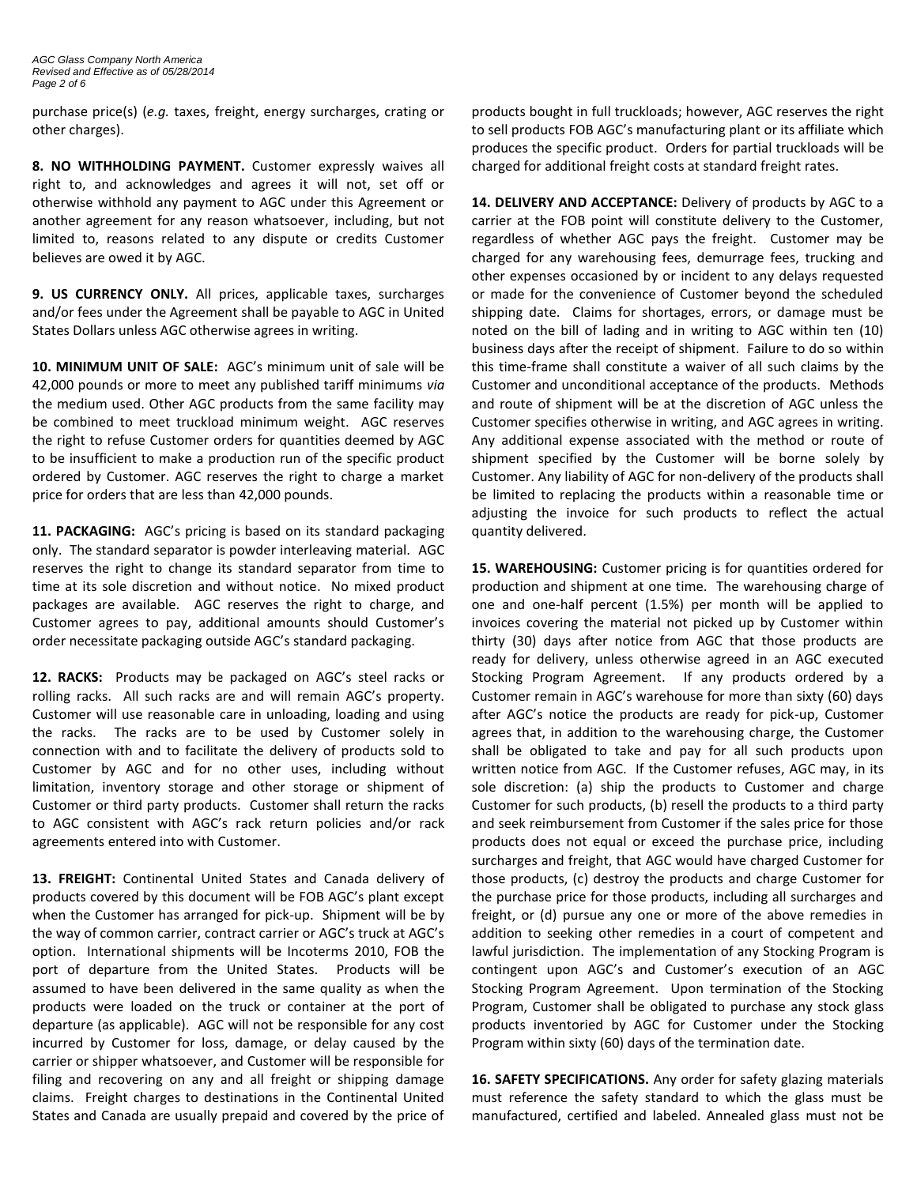purchase price(s) (*e.g.* taxes, freight, energy surcharges, crating or other charges).

**8. NO WITHHOLDING PAYMENT.** Customer expressly waives all right to, and acknowledges and agrees it will not, set off or otherwise withhold any payment to AGC under this Agreement or another agreement for any reason whatsoever, including, but not limited to, reasons related to any dispute or credits Customer believes are owed it by AGC.

**9. US CURRENCY ONLY.** All prices, applicable taxes, surcharges and/or fees under the Agreement shall be payable to AGC in United States Dollars unless AGC otherwise agrees in writing.

**10. MINIMUM UNIT OF SALE:** AGC's minimum unit of sale will be 42,000 pounds or more to meet any published tariff minimums *via* the medium used. Other AGC products from the same facility may be combined to meet truckload minimum weight. AGC reserves the right to refuse Customer orders for quantities deemed by AGC to be insufficient to make a production run of the specific product ordered by Customer. AGC reserves the right to charge a market price for orders that are less than 42,000 pounds.

**11. PACKAGING:** AGC's pricing is based on its standard packaging only. The standard separator is powder interleaving material. AGC reserves the right to change its standard separator from time to time at its sole discretion and without notice. No mixed product packages are available. AGC reserves the right to charge, and Customer agrees to pay, additional amounts should Customer's order necessitate packaging outside AGC's standard packaging.

**12. RACKS:** Products may be packaged on AGC's steel racks or rolling racks. All such racks are and will remain AGC's property. Customer will use reasonable care in unloading, loading and using the racks. The racks are to be used by Customer solely in connection with and to facilitate the delivery of products sold to Customer by AGC and for no other uses, including without limitation, inventory storage and other storage or shipment of Customer or third party products. Customer shall return the racks to AGC consistent with AGC's rack return policies and/or rack agreements entered into with Customer.

**13. FREIGHT:** Continental United States and Canada delivery of products covered by this document will be FOB AGC's plant except when the Customer has arranged for pick-up. Shipment will be by the way of common carrier, contract carrier or AGC's truck at AGC's option. International shipments will be Incoterms 2010, FOB the port of departure from the United States. Products will be assumed to have been delivered in the same quality as when the products were loaded on the truck or container at the port of departure (as applicable). AGC will not be responsible for any cost incurred by Customer for loss, damage, or delay caused by the carrier or shipper whatsoever, and Customer will be responsible for filing and recovering on any and all freight or shipping damage claims. Freight charges to destinations in the Continental United States and Canada are usually prepaid and covered by the price of

products bought in full truckloads; however, AGC reserves the right to sell products FOB AGC's manufacturing plant or its affiliate which produces the specific product. Orders for partial truckloads will be charged for additional freight costs at standard freight rates.

**14. DELIVERY AND ACCEPTANCE:** Delivery of products by AGC to a carrier at the FOB point will constitute delivery to the Customer, regardless of whether AGC pays the freight. Customer may be charged for any warehousing fees, demurrage fees, trucking and other expenses occasioned by or incident to any delays requested or made for the convenience of Customer beyond the scheduled shipping date. Claims for shortages, errors, or damage must be noted on the bill of lading and in writing to AGC within ten (10) business days after the receipt of shipment. Failure to do so within this time-frame shall constitute a waiver of all such claims by the Customer and unconditional acceptance of the products. Methods and route of shipment will be at the discretion of AGC unless the Customer specifies otherwise in writing, and AGC agrees in writing. Any additional expense associated with the method or route of shipment specified by the Customer will be borne solely by Customer. Any liability of AGC for non-delivery of the products shall be limited to replacing the products within a reasonable time or adjusting the invoice for such products to reflect the actual quantity delivered.

**15. WAREHOUSING:** Customer pricing is for quantities ordered for production and shipment at one time. The warehousing charge of one and one-half percent (1.5%) per month will be applied to invoices covering the material not picked up by Customer within thirty (30) days after notice from AGC that those products are ready for delivery, unless otherwise agreed in an AGC executed Stocking Program Agreement. If any products ordered by a Customer remain in AGC's warehouse for more than sixty (60) days after AGC's notice the products are ready for pick-up, Customer agrees that, in addition to the warehousing charge, the Customer shall be obligated to take and pay for all such products upon written notice from AGC. If the Customer refuses, AGC may, in its sole discretion: (a) ship the products to Customer and charge Customer for such products, (b) resell the products to a third party and seek reimbursement from Customer if the sales price for those products does not equal or exceed the purchase price, including surcharges and freight, that AGC would have charged Customer for those products, (c) destroy the products and charge Customer for the purchase price for those products, including all surcharges and freight, or (d) pursue any one or more of the above remedies in addition to seeking other remedies in a court of competent and lawful jurisdiction. The implementation of any Stocking Program is contingent upon AGC's and Customer's execution of an AGC Stocking Program Agreement. Upon termination of the Stocking Program, Customer shall be obligated to purchase any stock glass products inventoried by AGC for Customer under the Stocking Program within sixty (60) days of the termination date.

**16. SAFETY SPECIFICATIONS.** Any order for safety glazing materials must reference the safety standard to which the glass must be manufactured, certified and labeled. Annealed glass must not be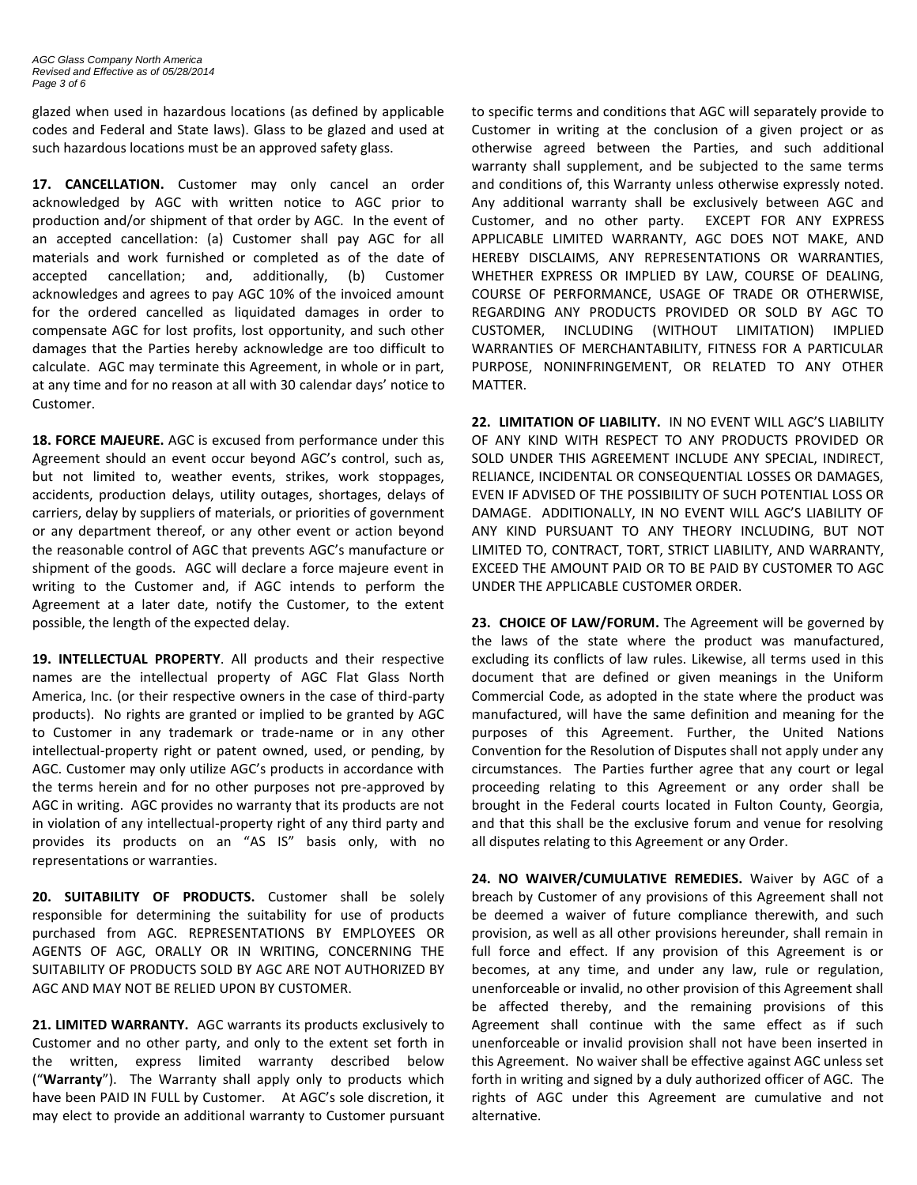glazed when used in hazardous locations (as defined by applicable codes and Federal and State laws). Glass to be glazed and used at such hazardous locations must be an approved safety glass.

**17. CANCELLATION.** Customer may only cancel an order acknowledged by AGC with written notice to AGC prior to production and/or shipment of that order by AGC. In the event of an accepted cancellation: (a) Customer shall pay AGC for all materials and work furnished or completed as of the date of accepted cancellation; and, additionally, (b) Customer acknowledges and agrees to pay AGC 10% of the invoiced amount for the ordered cancelled as liquidated damages in order to compensate AGC for lost profits, lost opportunity, and such other damages that the Parties hereby acknowledge are too difficult to calculate. AGC may terminate this Agreement, in whole or in part, at any time and for no reason at all with 30 calendar days' notice to Customer.

**18. FORCE MAJEURE.** AGC is excused from performance under this Agreement should an event occur beyond AGC's control, such as, but not limited to, weather events, strikes, work stoppages, accidents, production delays, utility outages, shortages, delays of carriers, delay by suppliers of materials, or priorities of government or any department thereof, or any other event or action beyond the reasonable control of AGC that prevents AGC's manufacture or shipment of the goods. AGC will declare a force majeure event in writing to the Customer and, if AGC intends to perform the Agreement at a later date, notify the Customer, to the extent possible, the length of the expected delay.

**19. INTELLECTUAL PROPERTY**. All products and their respective names are the intellectual property of AGC Flat Glass North America, Inc. (or their respective owners in the case of third-party products). No rights are granted or implied to be granted by AGC to Customer in any trademark or trade-name or in any other intellectual-property right or patent owned, used, or pending, by AGC. Customer may only utilize AGC's products in accordance with the terms herein and for no other purposes not pre-approved by AGC in writing. AGC provides no warranty that its products are not in violation of any intellectual-property right of any third party and provides its products on an "AS IS" basis only, with no representations or warranties.

**20. SUITABILITY OF PRODUCTS.** Customer shall be solely responsible for determining the suitability for use of products purchased from AGC. REPRESENTATIONS BY EMPLOYEES OR AGENTS OF AGC, ORALLY OR IN WRITING, CONCERNING THE SUITABILITY OF PRODUCTS SOLD BY AGC ARE NOT AUTHORIZED BY AGC AND MAY NOT BE RELIED UPON BY CUSTOMER.

**21. LIMITED WARRANTY.** AGC warrants its products exclusively to Customer and no other party, and only to the extent set forth in the written, express limited warranty described below ("**Warranty**"). The Warranty shall apply only to products which have been PAID IN FULL by Customer. At AGC's sole discretion, it may elect to provide an additional warranty to Customer pursuant to specific terms and conditions that AGC will separately provide to Customer in writing at the conclusion of a given project or as otherwise agreed between the Parties, and such additional warranty shall supplement, and be subjected to the same terms and conditions of, this Warranty unless otherwise expressly noted. Any additional warranty shall be exclusively between AGC and Customer, and no other party. EXCEPT FOR ANY EXPRESS APPLICABLE LIMITED WARRANTY, AGC DOES NOT MAKE, AND HEREBY DISCLAIMS, ANY REPRESENTATIONS OR WARRANTIES, WHETHER EXPRESS OR IMPLIED BY LAW, COURSE OF DEALING, COURSE OF PERFORMANCE, USAGE OF TRADE OR OTHERWISE, REGARDING ANY PRODUCTS PROVIDED OR SOLD BY AGC TO CUSTOMER, INCLUDING (WITHOUT LIMITATION) IMPLIED WARRANTIES OF MERCHANTABILITY, FITNESS FOR A PARTICULAR PURPOSE, NONINFRINGEMENT, OR RELATED TO ANY OTHER MATTER.

**22. LIMITATION OF LIABILITY.** IN NO EVENT WILL AGC'S LIABILITY OF ANY KIND WITH RESPECT TO ANY PRODUCTS PROVIDED OR SOLD UNDER THIS AGREEMENT INCLUDE ANY SPECIAL, INDIRECT, RELIANCE, INCIDENTAL OR CONSEQUENTIAL LOSSES OR DAMAGES, EVEN IF ADVISED OF THE POSSIBILITY OF SUCH POTENTIAL LOSS OR DAMAGE. ADDITIONALLY, IN NO EVENT WILL AGC'S LIABILITY OF ANY KIND PURSUANT TO ANY THEORY INCLUDING, BUT NOT LIMITED TO, CONTRACT, TORT, STRICT LIABILITY, AND WARRANTY, EXCEED THE AMOUNT PAID OR TO BE PAID BY CUSTOMER TO AGC UNDER THE APPLICABLE CUSTOMER ORDER.

**23. CHOICE OF LAW/FORUM.** The Agreement will be governed by the laws of the state where the product was manufactured, excluding its conflicts of law rules. Likewise, all terms used in this document that are defined or given meanings in the Uniform Commercial Code, as adopted in the state where the product was manufactured, will have the same definition and meaning for the purposes of this Agreement. Further, the United Nations Convention for the Resolution of Disputes shall not apply under any circumstances. The Parties further agree that any court or legal proceeding relating to this Agreement or any order shall be brought in the Federal courts located in Fulton County, Georgia, and that this shall be the exclusive forum and venue for resolving all disputes relating to this Agreement or any Order.

**24. NO WAIVER/CUMULATIVE REMEDIES.** Waiver by AGC of a breach by Customer of any provisions of this Agreement shall not be deemed a waiver of future compliance therewith, and such provision, as well as all other provisions hereunder, shall remain in full force and effect. If any provision of this Agreement is or becomes, at any time, and under any law, rule or regulation, unenforceable or invalid, no other provision of this Agreement shall be affected thereby, and the remaining provisions of this Agreement shall continue with the same effect as if such unenforceable or invalid provision shall not have been inserted in this Agreement. No waiver shall be effective against AGC unless set forth in writing and signed by a duly authorized officer of AGC. The rights of AGC under this Agreement are cumulative and not alternative.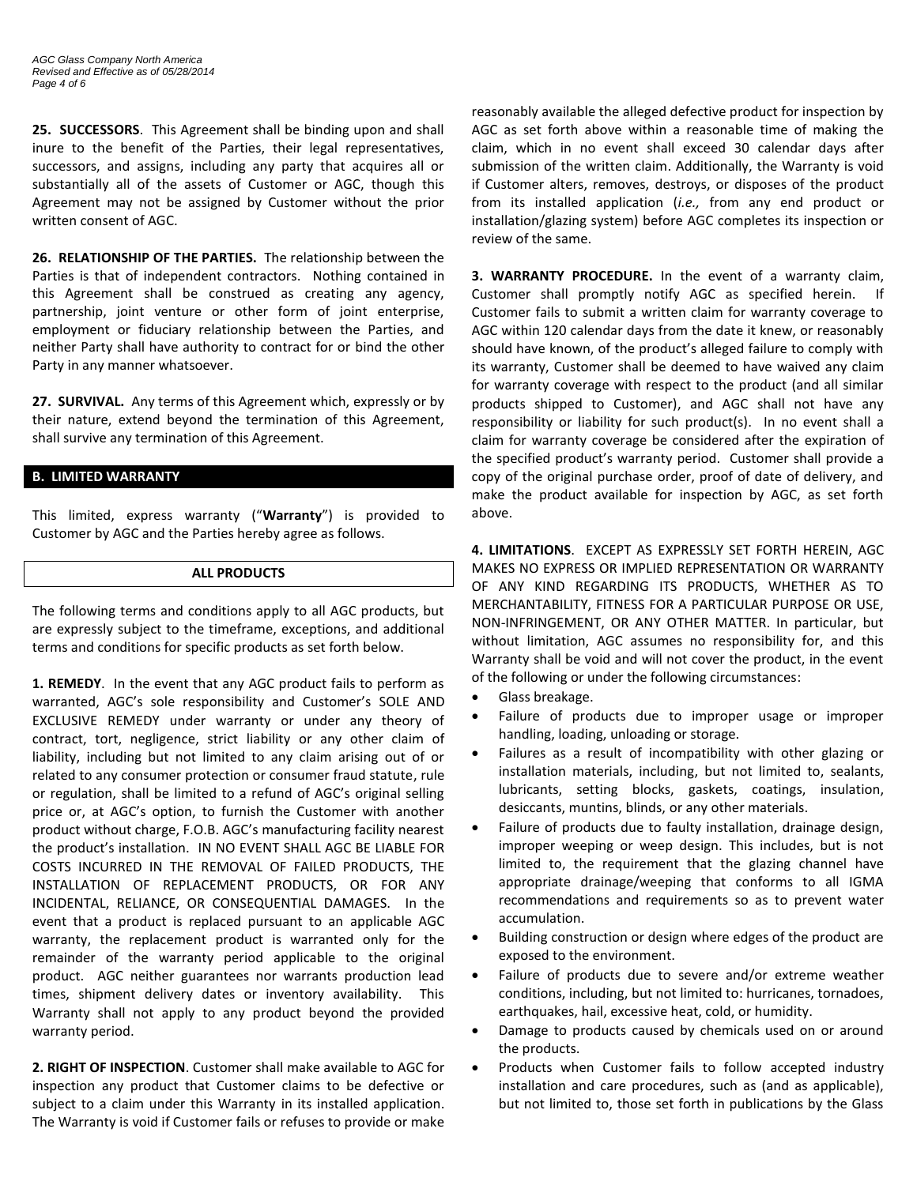**25. SUCCESSORS**. This Agreement shall be binding upon and shall inure to the benefit of the Parties, their legal representatives, successors, and assigns, including any party that acquires all or substantially all of the assets of Customer or AGC, though this Agreement may not be assigned by Customer without the prior written consent of AGC.

**26. RELATIONSHIP OF THE PARTIES.** The relationship between the Parties is that of independent contractors. Nothing contained in this Agreement shall be construed as creating any agency, partnership, joint venture or other form of joint enterprise, employment or fiduciary relationship between the Parties, and neither Party shall have authority to contract for or bind the other Party in any manner whatsoever.

**27. SURVIVAL.** Any terms of this Agreement which, expressly or by their nature, extend beyond the termination of this Agreement, shall survive any termination of this Agreement.

## **B. LIMITED WARRANTY**

This limited, express warranty ("**Warranty**") is provided to Customer by AGC and the Parties hereby agree as follows.

## **ALL PRODUCTS**

The following terms and conditions apply to all AGC products, but are expressly subject to the timeframe, exceptions, and additional terms and conditions for specific products as set forth below.

**1. REMEDY**. In the event that any AGC product fails to perform as warranted, AGC's sole responsibility and Customer's SOLE AND EXCLUSIVE REMEDY under warranty or under any theory of contract, tort, negligence, strict liability or any other claim of liability, including but not limited to any claim arising out of or related to any consumer protection or consumer fraud statute, rule or regulation, shall be limited to a refund of AGC's original selling price or, at AGC's option, to furnish the Customer with another product without charge, F.O.B. AGC's manufacturing facility nearest the product's installation. IN NO EVENT SHALL AGC BE LIABLE FOR COSTS INCURRED IN THE REMOVAL OF FAILED PRODUCTS, THE INSTALLATION OF REPLACEMENT PRODUCTS, OR FOR ANY INCIDENTAL, RELIANCE, OR CONSEQUENTIAL DAMAGES. In the event that a product is replaced pursuant to an applicable AGC warranty, the replacement product is warranted only for the remainder of the warranty period applicable to the original product. AGC neither guarantees nor warrants production lead times, shipment delivery dates or inventory availability. This Warranty shall not apply to any product beyond the provided warranty period.

**2. RIGHT OF INSPECTION**. Customer shall make available to AGC for inspection any product that Customer claims to be defective or subject to a claim under this Warranty in its installed application. The Warranty is void if Customer fails or refuses to provide or make

reasonably available the alleged defective product for inspection by AGC as set forth above within a reasonable time of making the claim, which in no event shall exceed 30 calendar days after submission of the written claim. Additionally, the Warranty is void if Customer alters, removes, destroys, or disposes of the product from its installed application (*i.e.,* from any end product or installation/glazing system) before AGC completes its inspection or review of the same.

**3. WARRANTY PROCEDURE.** In the event of a warranty claim, Customer shall promptly notify AGC as specified herein. If Customer fails to submit a written claim for warranty coverage to AGC within 120 calendar days from the date it knew, or reasonably should have known, of the product's alleged failure to comply with its warranty, Customer shall be deemed to have waived any claim for warranty coverage with respect to the product (and all similar products shipped to Customer), and AGC shall not have any responsibility or liability for such product(s). In no event shall a claim for warranty coverage be considered after the expiration of the specified product's warranty period. Customer shall provide a copy of the original purchase order, proof of date of delivery, and make the product available for inspection by AGC, as set forth above.

**4. LIMITATIONS**. EXCEPT AS EXPRESSLY SET FORTH HEREIN, AGC MAKES NO EXPRESS OR IMPLIED REPRESENTATION OR WARRANTY OF ANY KIND REGARDING ITS PRODUCTS, WHETHER AS TO MERCHANTABILITY, FITNESS FOR A PARTICULAR PURPOSE OR USE, NON-INFRINGEMENT, OR ANY OTHER MATTER. In particular, but without limitation, AGC assumes no responsibility for, and this Warranty shall be void and will not cover the product, in the event of the following or under the following circumstances:

- Glass breakage.
- Failure of products due to improper usage or improper handling, loading, unloading or storage.
- Failures as a result of incompatibility with other glazing or installation materials, including, but not limited to, sealants, lubricants, setting blocks, gaskets, coatings, insulation, desiccants, muntins, blinds, or any other materials.
- Failure of products due to faulty installation, drainage design, improper weeping or weep design. This includes, but is not limited to, the requirement that the glazing channel have appropriate drainage/weeping that conforms to all IGMA recommendations and requirements so as to prevent water accumulation.
- Building construction or design where edges of the product are exposed to the environment.
- Failure of products due to severe and/or extreme weather conditions, including, but not limited to: hurricanes, tornadoes, earthquakes, hail, excessive heat, cold, or humidity.
- Damage to products caused by chemicals used on or around the products.
- Products when Customer fails to follow accepted industry installation and care procedures, such as (and as applicable), but not limited to, those set forth in publications by the Glass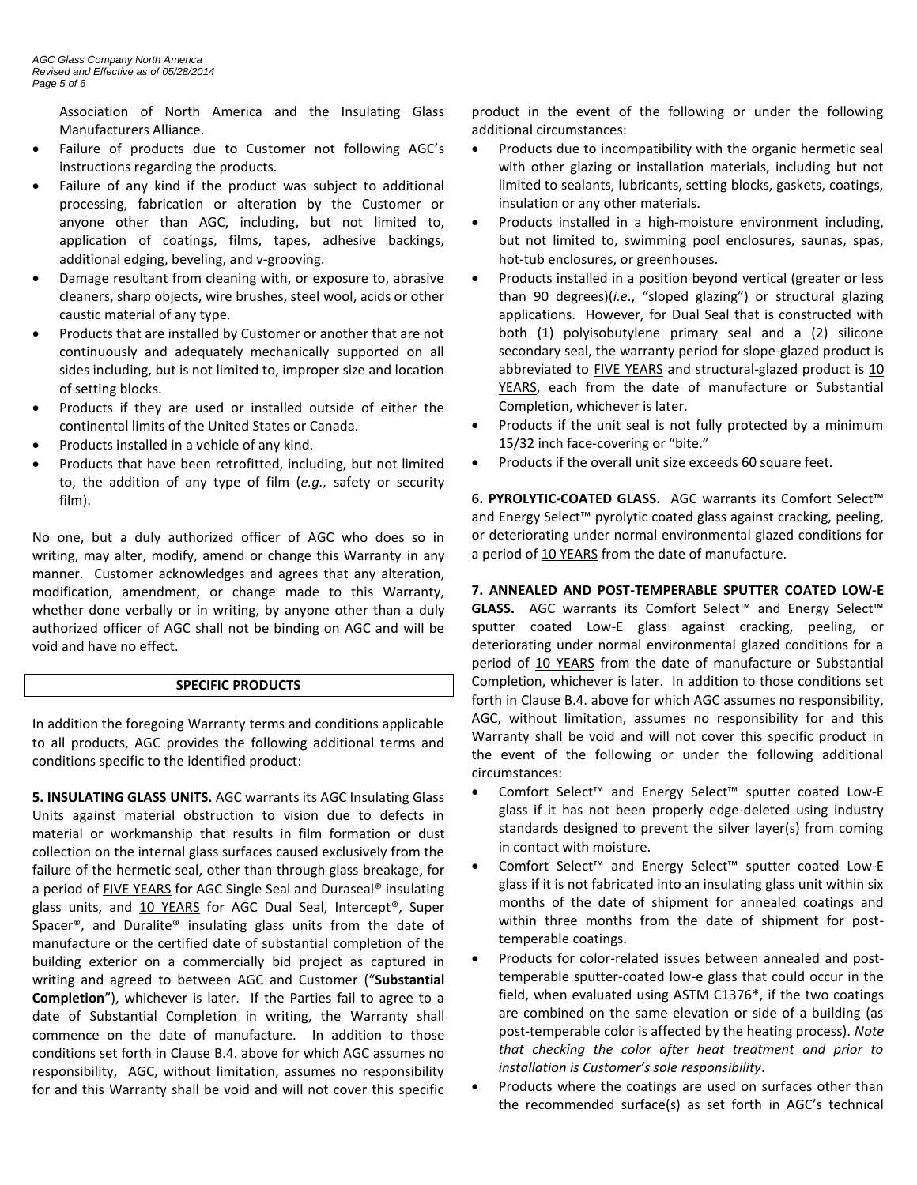Association of North America and the Insulating Glass Manufacturers Alliance.

- Failure of products due to Customer not following AGC's instructions regarding the products.
- Failure of any kind if the product was subject to additional processing, fabrication or alteration by the Customer or anyone other than AGC, including, but not limited to, application of coatings, films, tapes, adhesive backings, additional edging, beveling, and v-grooving.
- Damage resultant from cleaning with, or exposure to, abrasive cleaners, sharp objects, wire brushes, steel wool, acids or other caustic material of any type.
- Products that are installed by Customer or another that are not continuously and adequately mechanically supported on all sides including, but is not limited to, improper size and location of setting blocks.
- Products if they are used or installed outside of either the continental limits of the United States or Canada.
- Products installed in a vehicle of any kind.
- Products that have been retrofitted, including, but not limited to, the addition of any type of film (*e.g.,* safety or security film).

No one, but a duly authorized officer of AGC who does so in writing, may alter, modify, amend or change this Warranty in any manner. Customer acknowledges and agrees that any alteration, modification, amendment, or change made to this Warranty, whether done verbally or in writing, by anyone other than a duly authorized officer of AGC shall not be binding on AGC and will be void and have no effect.

## **SPECIFIC PRODUCTS**

In addition the foregoing Warranty terms and conditions applicable to all products, AGC provides the following additional terms and conditions specific to the identified product:

**5. INSULATING GLASS UNITS.** AGC warrants its AGC Insulating Glass Units against material obstruction to vision due to defects in material or workmanship that results in film formation or dust collection on the internal glass surfaces caused exclusively from the failure of the hermetic seal, other than through glass breakage, for a period of FIVE YEARS for AGC Single Seal and Duraseal® insulating glass units, and 10 YEARS for AGC Dual Seal, Intercept®, Super Spacer®, and Duralite® insulating glass units from the date of manufacture or the certified date of substantial completion of the building exterior on a commercially bid project as captured in writing and agreed to between AGC and Customer ("**Substantial Completion**"), whichever is later. If the Parties fail to agree to a date of Substantial Completion in writing, the Warranty shall commence on the date of manufacture. In addition to those conditions set forth in Clause B.4. above for which AGC assumes no responsibility, AGC, without limitation, assumes no responsibility for and this Warranty shall be void and will not cover this specific product in the event of the following or under the following additional circumstances:

- Products due to incompatibility with the organic hermetic seal with other glazing or installation materials, including but not limited to sealants, lubricants, setting blocks, gaskets, coatings, insulation or any other materials.
- Products installed in a high-moisture environment including, but not limited to, swimming pool enclosures, saunas, spas, hot-tub enclosures, or greenhouses.
- Products installed in a position beyond vertical (greater or less than 90 degrees)(*i.e*., "sloped glazing") or structural glazing applications. However, for Dual Seal that is constructed with both (1) polyisobutylene primary seal and a (2) silicone secondary seal, the warranty period for slope-glazed product is abbreviated to FIVE YEARS and structural-glazed product is 10 YEARS, each from the date of manufacture or Substantial Completion, whichever is later.
- Products if the unit seal is not fully protected by a minimum 15/32 inch face-covering or "bite."
- Products if the overall unit size exceeds 60 square feet.

**6. PYROLYTIC-COATED GLASS.** AGC warrants its Comfort Select™ and Energy Select™ pyrolytic coated glass against cracking, peeling, or deteriorating under normal environmental glazed conditions for a period of 10 YEARS from the date of manufacture.

**7. ANNEALED AND POST-TEMPERABLE SPUTTER COATED LOW-E GLASS.** AGC warrants its Comfort Select™ and Energy Select™ sputter coated Low-E glass against cracking, peeling, or deteriorating under normal environmental glazed conditions for a period of 10 YEARS from the date of manufacture or Substantial Completion, whichever is later. In addition to those conditions set forth in Clause B.4. above for which AGC assumes no responsibility, AGC, without limitation, assumes no responsibility for and this Warranty shall be void and will not cover this specific product in the event of the following or under the following additional circumstances:

- Comfort Select™ and Energy Select™ sputter coated Low-E glass if it has not been properly edge-deleted using industry standards designed to prevent the silver layer(s) from coming in contact with moisture.
- Comfort Select™ and Energy Select™ sputter coated Low-E glass if it is not fabricated into an insulating glass unit within six months of the date of shipment for annealed coatings and within three months from the date of shipment for posttemperable coatings.
- Products for color-related issues between annealed and posttemperable sputter-coated low-e glass that could occur in the field, when evaluated using ASTM C1376\*, if the two coatings are combined on the same elevation or side of a building (as post-temperable color is affected by the heating process). *Note that checking the color after heat treatment and prior to installation is Customer's sole responsibility*.
- Products where the coatings are used on surfaces other than the recommended surface(s) as set forth in AGC's technical